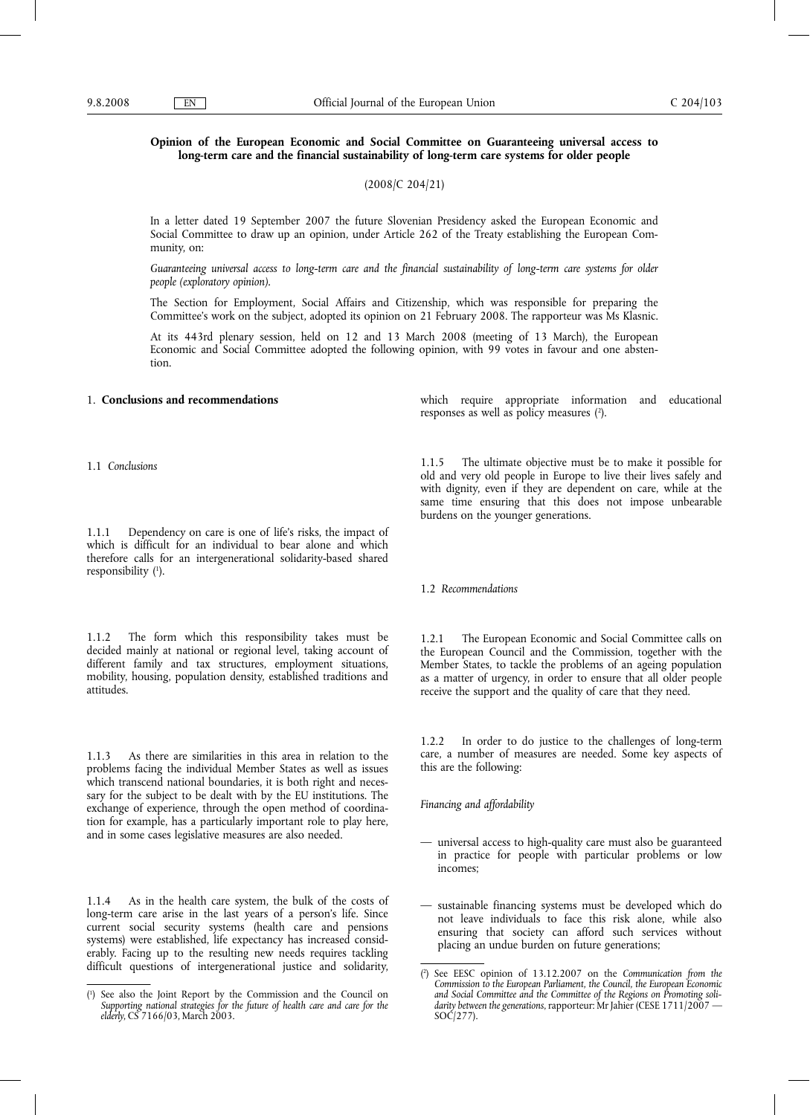# **Opinion of the European Economic and Social Committee on Guaranteeing universal access to long-term care and the financial sustainability of long-term care systems for older people**

(2008/C 204/21)

In a letter dated 19 September 2007 the future Slovenian Presidency asked the European Economic and Social Committee to draw up an opinion, under Article 262 of the Treaty establishing the European Community, on:

*Guaranteeing universal access to long-term care and the financial sustainability of long-term care systems for older people (exploratory opinion).*

The Section for Employment, Social Affairs and Citizenship, which was responsible for preparing the Committee's work on the subject, adopted its opinion on 21 February 2008. The rapporteur was Ms Klasnic.

At its 443rd plenary session, held on 12 and 13 March 2008 (meeting of 13 March), the European Economic and Social Committee adopted the following opinion, with 99 votes in favour and one abstention.

#### 1. **Conclusions and recommendations**

1.1 *Conclusions*

1.1.1 Dependency on care is one of life's risks, the impact of which is difficult for an individual to bear alone and which therefore calls for an intergenerational solidarity-based shared responsibility (1 ).

1.1.2 The form which this responsibility takes must be decided mainly at national or regional level, taking account of different family and tax structures, employment situations, mobility, housing, population density, established traditions and attitudes.

1.1.3 As there are similarities in this area in relation to the problems facing the individual Member States as well as issues which transcend national boundaries, it is both right and necessary for the subject to be dealt with by the EU institutions. The exchange of experience, through the open method of coordination for example, has a particularly important role to play here, and in some cases legislative measures are also needed.

1.1.4 As in the health care system, the bulk of the costs of long-term care arise in the last years of a person's life. Since current social security systems (health care and pensions systems) were established, life expectancy has increased considerably. Facing up to the resulting new needs requires tackling difficult questions of intergenerational justice and solidarity, which require appropriate information and educational responses as well as policy measures  $(2)$ .

1.1.5 The ultimate objective must be to make it possible for old and very old people in Europe to live their lives safely and with dignity, even if they are dependent on care, while at the same time ensuring that this does not impose unbearable burdens on the younger generations.

### 1.2 *Recommendations*

1.2.1 The European Economic and Social Committee calls on the European Council and the Commission, together with the Member States, to tackle the problems of an ageing population as a matter of urgency, in order to ensure that all older people receive the support and the quality of care that they need.

1.2.2 In order to do justice to the challenges of long-term care, a number of measures are needed. Some key aspects of this are the following:

*Financing and affordability*

- universal access to high-quality care must also be guaranteed in practice for people with particular problems or low incomes;
- sustainable financing systems must be developed which do not leave individuals to face this risk alone, while also ensuring that society can afford such services without placing an undue burden on future generations;

<sup>(</sup> 1 ) See also the Joint Report by the Commission and the Council on *Supporting national strategies for the future of health care and care for the elderly*, CS 7166/03, March 2003.

<sup>(</sup> 2 ) See EESC opinion of 13.12.2007 on the *Communication from the Commission to the European Parliament, the Council, the European Economic and Social Committee and the Committee of the Regions on Promoting solidarity between the generations*, rapporteur: Mr Jahier (CESE 1711/2007 —  $SOC/277$ ).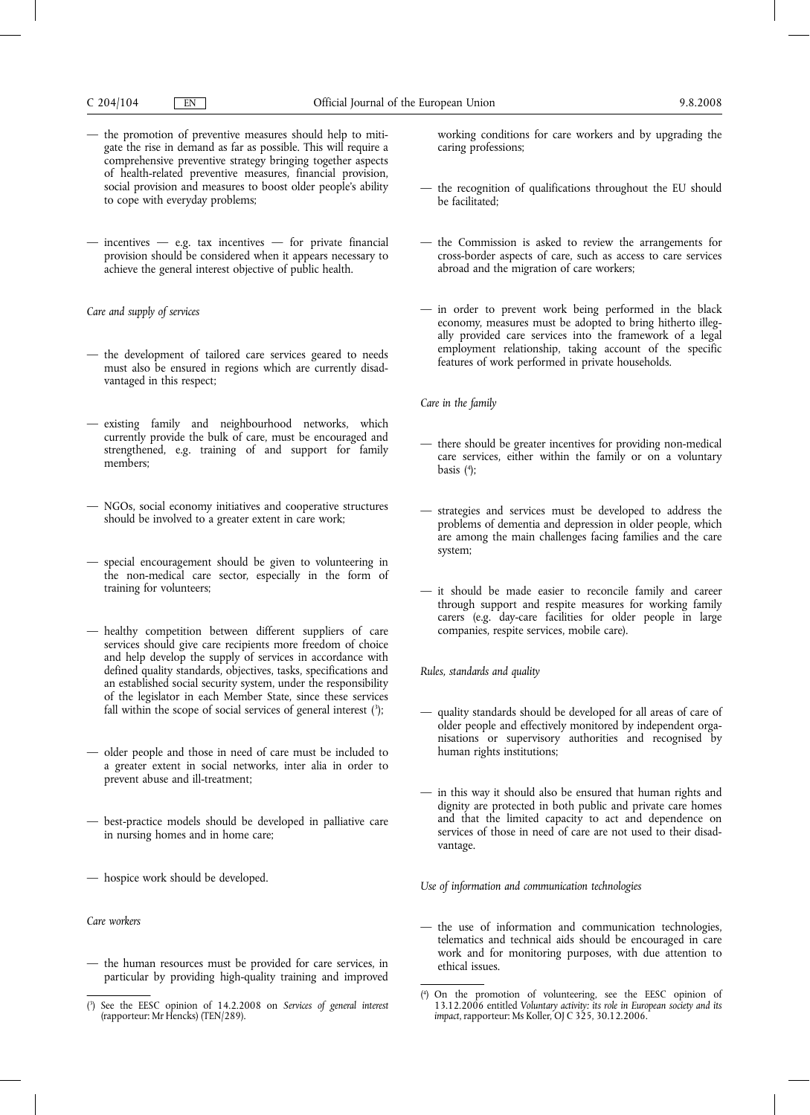- the promotion of preventive measures should help to mitigate the rise in demand as far as possible. This will require a comprehensive preventive strategy bringing together aspects of health-related preventive measures, financial provision, social provision and measures to boost older people's ability to cope with everyday problems;
- $-$  incentives  $-$  e.g. tax incentives  $-$  for private financial provision should be considered when it appears necessary to achieve the general interest objective of public health.

*Care and supply of services*

- the development of tailored care services geared to needs must also be ensured in regions which are currently disadvantaged in this respect;
- existing family and neighbourhood networks, which currently provide the bulk of care, must be encouraged and strengthened, e.g. training of and support for family members;
- NGOs, social economy initiatives and cooperative structures should be involved to a greater extent in care work;
- special encouragement should be given to volunteering in the non-medical care sector, especially in the form of training for volunteers;
- healthy competition between different suppliers of care services should give care recipients more freedom of choice and help develop the supply of services in accordance with defined quality standards, objectives, tasks, specifications and an established social security system, under the responsibility of the legislator in each Member State, since these services fall within the scope of social services of general interest (3);
- older people and those in need of care must be included to a greater extent in social networks, inter alia in order to prevent abuse and ill-treatment;
- best-practice models should be developed in palliative care in nursing homes and in home care;
- hospice work should be developed.

*Care workers*

— the human resources must be provided for care services, in particular by providing high-quality training and improved

working conditions for care workers and by upgrading the caring professions;

- the recognition of qualifications throughout the EU should be facilitated;
- the Commission is asked to review the arrangements for cross-border aspects of care, such as access to care services abroad and the migration of care workers;
- in order to prevent work being performed in the black economy, measures must be adopted to bring hitherto illegally provided care services into the framework of a legal employment relationship, taking account of the specific features of work performed in private households.

*Care in the family*

- there should be greater incentives for providing non-medical care services, either within the family or on a voluntary basis (4 );
- strategies and services must be developed to address the problems of dementia and depression in older people, which are among the main challenges facing families and the care system;
- it should be made easier to reconcile family and career through support and respite measures for working family carers (e.g. day-care facilities for older people in large companies, respite services, mobile care).

*Rules, standards and quality*

- quality standards should be developed for all areas of care of older people and effectively monitored by independent organisations or supervisory authorities and recognised by human rights institutions;
- in this way it should also be ensured that human rights and dignity are protected in both public and private care homes and that the limited capacity to act and dependence on services of those in need of care are not used to their disadvantage.

*Use of information and communication technologies*

the use of information and communication technologies, telematics and technical aids should be encouraged in care work and for monitoring purposes, with due attention to ethical issues.

<sup>(</sup> 3 ) See the EESC opinion of 14.2.2008 on *Services of general interest* (rapporteur: Mr Hencks) (TEN/289).

<sup>(</sup> 4 ) On the promotion of volunteering, see the EESC opinion of 13.12.2006 entitled *Voluntary activity: its role in European society and its impact*, rapporteur: Ms Koller, OJ C 325, 30.12.2006.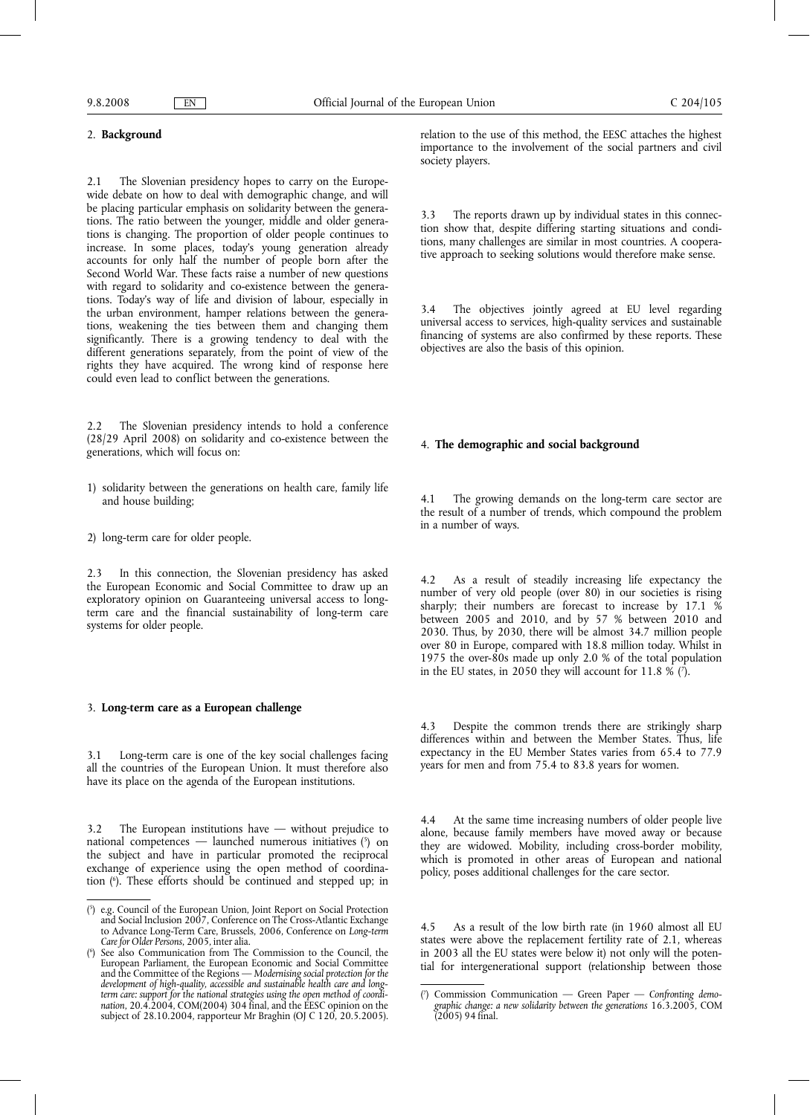## 2. **Background**

2.1 The Slovenian presidency hopes to carry on the Europewide debate on how to deal with demographic change, and will be placing particular emphasis on solidarity between the generations. The ratio between the younger, middle and older generations is changing. The proportion of older people continues to increase. In some places, today's young generation already accounts for only half the number of people born after the Second World War. These facts raise a number of new questions with regard to solidarity and co-existence between the generations. Today's way of life and division of labour, especially in the urban environment, hamper relations between the generations, weakening the ties between them and changing them significantly. There is a growing tendency to deal with the different generations separately, from the point of view of the rights they have acquired. The wrong kind of response here could even lead to conflict between the generations.

2.2 The Slovenian presidency intends to hold a conference (28/29 April 2008) on solidarity and co-existence between the generations, which will focus on:

- 1) solidarity between the generations on health care, family life and house building;
- 2) long-term care for older people.

2.3 In this connection, the Slovenian presidency has asked the European Economic and Social Committee to draw up an exploratory opinion on Guaranteeing universal access to longterm care and the financial sustainability of long-term care systems for older people.

## 3. **Long-term care as a European challenge**

3.1 Long-term care is one of the key social challenges facing all the countries of the European Union. It must therefore also have its place on the agenda of the European institutions.

3.2 The European institutions have — without prejudice to national competences — launched numerous initiatives (5) on the subject and have in particular promoted the reciprocal exchange of experience using the open method of coordination (6 ). These efforts should be continued and stepped up; in

relation to the use of this method, the EESC attaches the highest importance to the involvement of the social partners and civil society players.

The reports drawn up by individual states in this connection show that, despite differing starting situations and conditions, many challenges are similar in most countries. A cooperative approach to seeking solutions would therefore make sense.

3.4 The objectives jointly agreed at EU level regarding universal access to services, high-quality services and sustainable financing of systems are also confirmed by these reports. These objectives are also the basis of this opinion.

#### 4. **The demographic and social background**

4.1 The growing demands on the long-term care sector are the result of a number of trends, which compound the problem in a number of ways.

4.2 As a result of steadily increasing life expectancy the number of very old people (over 80) in our societies is rising sharply; their numbers are forecast to increase by  $17.1\,$  % between 2005 and 2010, and by 57 % between 2010 and 2030. Thus, by 2030, there will be almost 34.7 million people over 80 in Europe, compared with 18.8 million today. Whilst in 1975 the over-80s made up only 2.0 % of the total population in the EU states, in 2050 they will account for  $11.8\%$  (?).

4.3 Despite the common trends there are strikingly sharp differences within and between the Member States. Thus, life expectancy in the EU Member States varies from 65.4 to 77.9 years for men and from 75.4 to 83.8 years for women.

4.4 At the same time increasing numbers of older people live alone, because family members have moved away or because they are widowed. Mobility, including cross-border mobility, which is promoted in other areas of European and national policy, poses additional challenges for the care sector.

4.5 As a result of the low birth rate (in 1960 almost all EU states were above the replacement fertility rate of 2.1, whereas in 2003 all the EU states were below it) not only will the potential for intergenerational support (relationship between those

<sup>(</sup> 5 ) e.g. Council of the European Union, Joint Report on Social Protection and Social Inclusion 2007, Conference on The Cross-Atlantic Exchange to Advance Long-Term Care, Brussels, 2006, Conference on *Long-term Care for Older Persons*, 2005, inter alia.

<sup>(</sup> 6 ) See also Communication from The Commission to the Council, the European Parliament, the European Economic and Social Committee and the Committee of the Regions — *Modernising social protection for the development of high-quality, accessible and sustainable health care and longterm care: support for the national strategies using the open method of coordination*, 20.4.2004, COM(2004) 304 final, and the EESC opinion on the subject of 28.10.2004, rapporteur Mr Braghin (OJ C 120, 20.5.2005).

 $($ <sup>7</sup> ) Commission Communication — Green Paper — *Confronting demo- graphic change: a new solidarity between the generations* 16.3.2005, COM (2005) 94 final.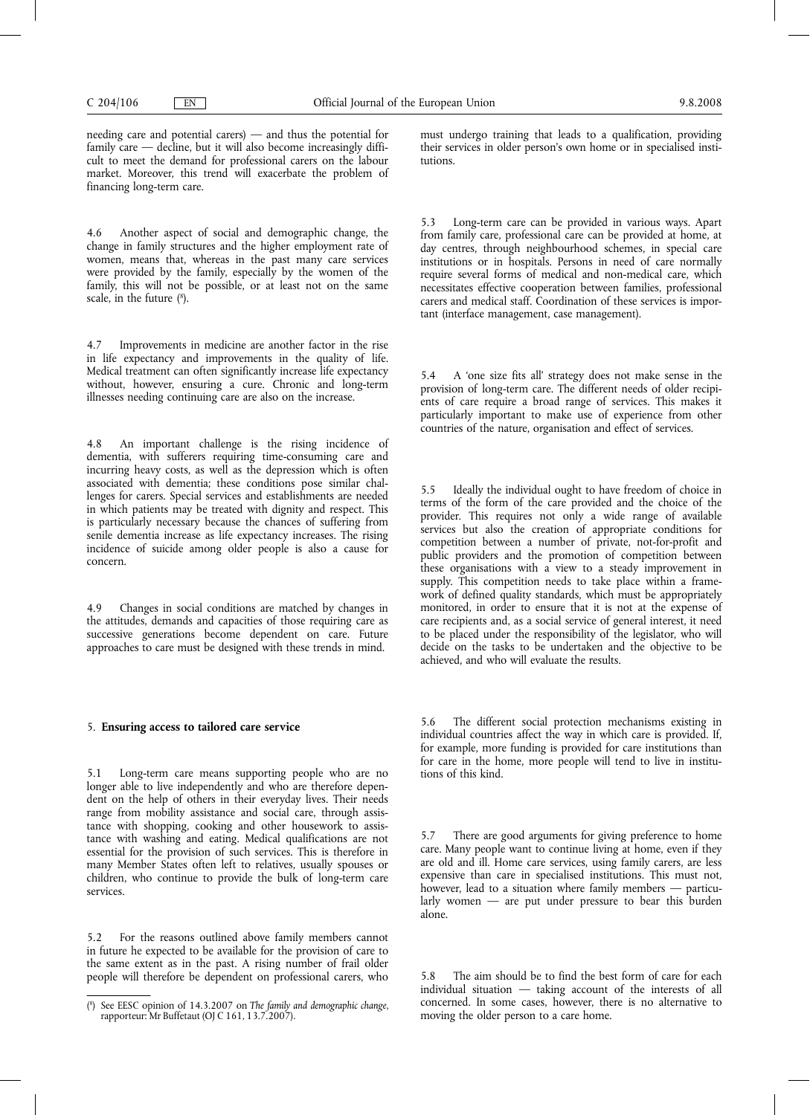needing care and potential carers) — and thus the potential for family care — decline, but it will also become increasingly difficult to meet the demand for professional carers on the labour market. Moreover, this trend will exacerbate the problem of financing long-term care.

4.6 Another aspect of social and demographic change, the change in family structures and the higher employment rate of women, means that, whereas in the past many care services were provided by the family, especially by the women of the family, this will not be possible, or at least not on the same scale, in the future (<sup>8</sup>).

4.7 Improvements in medicine are another factor in the rise in life expectancy and improvements in the quality of life. Medical treatment can often significantly increase life expectancy without, however, ensuring a cure. Chronic and long-term illnesses needing continuing care are also on the increase.

4.8 An important challenge is the rising incidence of dementia, with sufferers requiring time-consuming care and incurring heavy costs, as well as the depression which is often associated with dementia; these conditions pose similar challenges for carers. Special services and establishments are needed in which patients may be treated with dignity and respect. This is particularly necessary because the chances of suffering from senile dementia increase as life expectancy increases. The rising incidence of suicide among older people is also a cause for concern.

4.9 Changes in social conditions are matched by changes in the attitudes, demands and capacities of those requiring care as successive generations become dependent on care. Future approaches to care must be designed with these trends in mind.

#### 5. **Ensuring access to tailored care service**

5.1 Long-term care means supporting people who are no longer able to live independently and who are therefore dependent on the help of others in their everyday lives. Their needs range from mobility assistance and social care, through assistance with shopping, cooking and other housework to assistance with washing and eating. Medical qualifications are not essential for the provision of such services. This is therefore in many Member States often left to relatives, usually spouses or children, who continue to provide the bulk of long-term care services.

5.2 For the reasons outlined above family members cannot in future he expected to be available for the provision of care to the same extent as in the past. A rising number of frail older people will therefore be dependent on professional carers, who must undergo training that leads to a qualification, providing their services in older person's own home or in specialised institutions.

Long-term care can be provided in various ways. Apart from family care, professional care can be provided at home, at day centres, through neighbourhood schemes, in special care institutions or in hospitals. Persons in need of care normally require several forms of medical and non-medical care, which necessitates effective cooperation between families, professional carers and medical staff. Coordination of these services is important (interface management, case management).

5.4 A 'one size fits all' strategy does not make sense in the provision of long-term care. The different needs of older recipients of care require a broad range of services. This makes it particularly important to make use of experience from other countries of the nature, organisation and effect of services.

5.5 Ideally the individual ought to have freedom of choice in terms of the form of the care provided and the choice of the provider. This requires not only a wide range of available services but also the creation of appropriate conditions for competition between a number of private, not-for-profit and public providers and the promotion of competition between these organisations with a view to a steady improvement in supply. This competition needs to take place within a framework of defined quality standards, which must be appropriately monitored, in order to ensure that it is not at the expense of care recipients and, as a social service of general interest, it need to be placed under the responsibility of the legislator, who will decide on the tasks to be undertaken and the objective to be achieved, and who will evaluate the results.

5.6 The different social protection mechanisms existing in individual countries affect the way in which care is provided. If, for example, more funding is provided for care institutions than for care in the home, more people will tend to live in institutions of this kind.

5.7 There are good arguments for giving preference to home care. Many people want to continue living at home, even if they are old and ill. Home care services, using family carers, are less expensive than care in specialised institutions. This must not, however, lead to a situation where family members — particularly women — are put under pressure to bear this burden alone.

5.8 The aim should be to find the best form of care for each individual situation — taking account of the interests of all concerned. In some cases, however, there is no alternative to moving the older person to a care home.

<sup>(</sup> 8 ) See EESC opinion of 14.3.2007 on *The family and demographic change*, rapporteur: Mr Buffetaut (OJ C 161, 13.7.2007).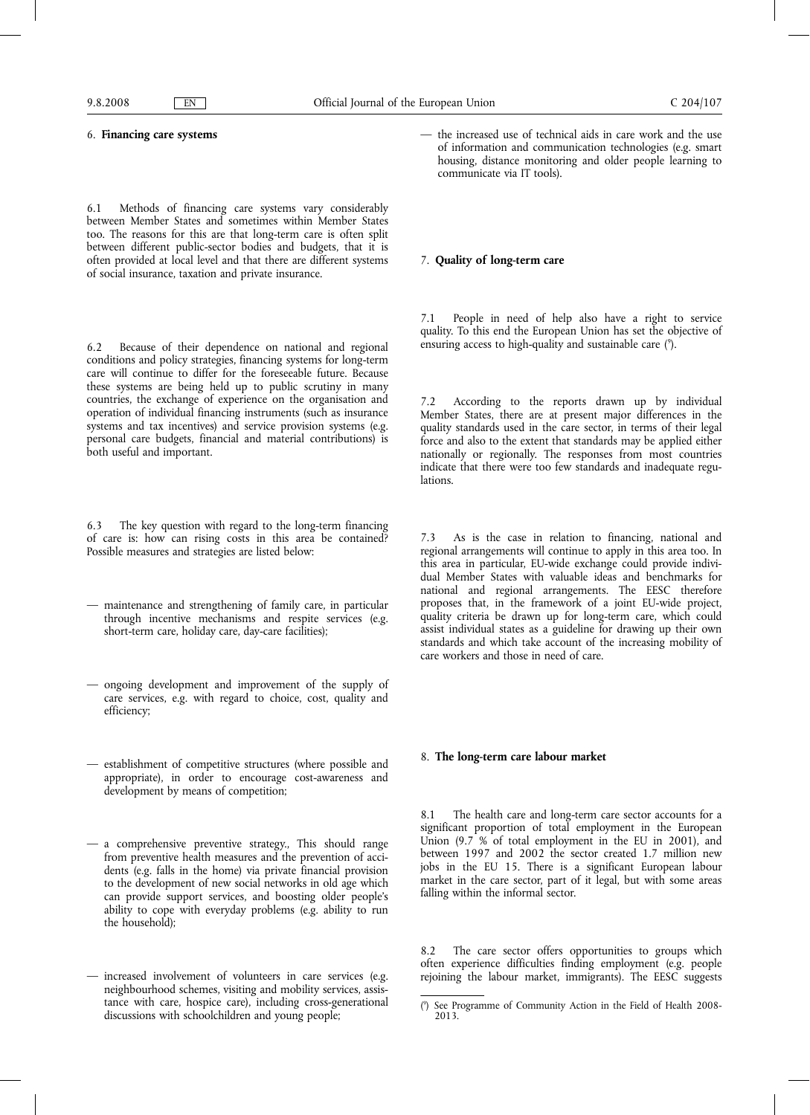## 6. **Financing care systems**

6.1 Methods of financing care systems vary considerably between Member States and sometimes within Member States too. The reasons for this are that long-term care is often split between different public-sector bodies and budgets, that it is often provided at local level and that there are different systems of social insurance, taxation and private insurance.

6.2 Because of their dependence on national and regional conditions and policy strategies, financing systems for long-term care will continue to differ for the foreseeable future. Because these systems are being held up to public scrutiny in many countries, the exchange of experience on the organisation and operation of individual financing instruments (such as insurance systems and tax incentives) and service provision systems (e.g. personal care budgets, financial and material contributions) is both useful and important.

6.3 The key question with regard to the long-term financing of care is: how can rising costs in this area be contained? Possible measures and strategies are listed below:

- maintenance and strengthening of family care, in particular through incentive mechanisms and respite services (e.g. short-term care, holiday care, day-care facilities);
- ongoing development and improvement of the supply of care services, e.g. with regard to choice, cost, quality and efficiency;
- establishment of competitive structures (where possible and appropriate), in order to encourage cost-awareness and development by means of competition;
- a comprehensive preventive strategy., This should range from preventive health measures and the prevention of accidents (e.g. falls in the home) via private financial provision to the development of new social networks in old age which can provide support services, and boosting older people's ability to cope with everyday problems (e.g. ability to run the household);
- increased involvement of volunteers in care services (e.g. neighbourhood schemes, visiting and mobility services, assistance with care, hospice care), including cross-generational discussions with schoolchildren and young people;

the increased use of technical aids in care work and the use of information and communication technologies (e.g. smart housing, distance monitoring and older people learning to communicate via IT tools).

#### 7. **Quality of long-term care**

People in need of help also have a right to service quality. To this end the European Union has set the objective of ensuring access to high-quality and sustainable care (9).

7.2 According to the reports drawn up by individual Member States, there are at present major differences in the quality standards used in the care sector, in terms of their legal force and also to the extent that standards may be applied either nationally or regionally. The responses from most countries indicate that there were too few standards and inadequate regulations.

7.3 As is the case in relation to financing, national and regional arrangements will continue to apply in this area too. In this area in particular, EU-wide exchange could provide individual Member States with valuable ideas and benchmarks for national and regional arrangements. The EESC therefore proposes that, in the framework of a joint EU-wide project, quality criteria be drawn up for long-term care, which could assist individual states as a guideline for drawing up their own standards and which take account of the increasing mobility of care workers and those in need of care.

#### 8. **The long-term care labour market**

The health care and long-term care sector accounts for a significant proportion of total employment in the European Union (9.7 % of total employment in the EU in 2001), and between 1997 and 2002 the sector created 1.7 million new jobs in the EU 15. There is a significant European labour market in the care sector, part of it legal, but with some areas falling within the informal sector.

The care sector offers opportunities to groups which often experience difficulties finding employment (e.g. people rejoining the labour market, immigrants). The EESC suggests

<sup>(</sup> 9 ) See Programme of Community Action in the Field of Health 2008- 2013.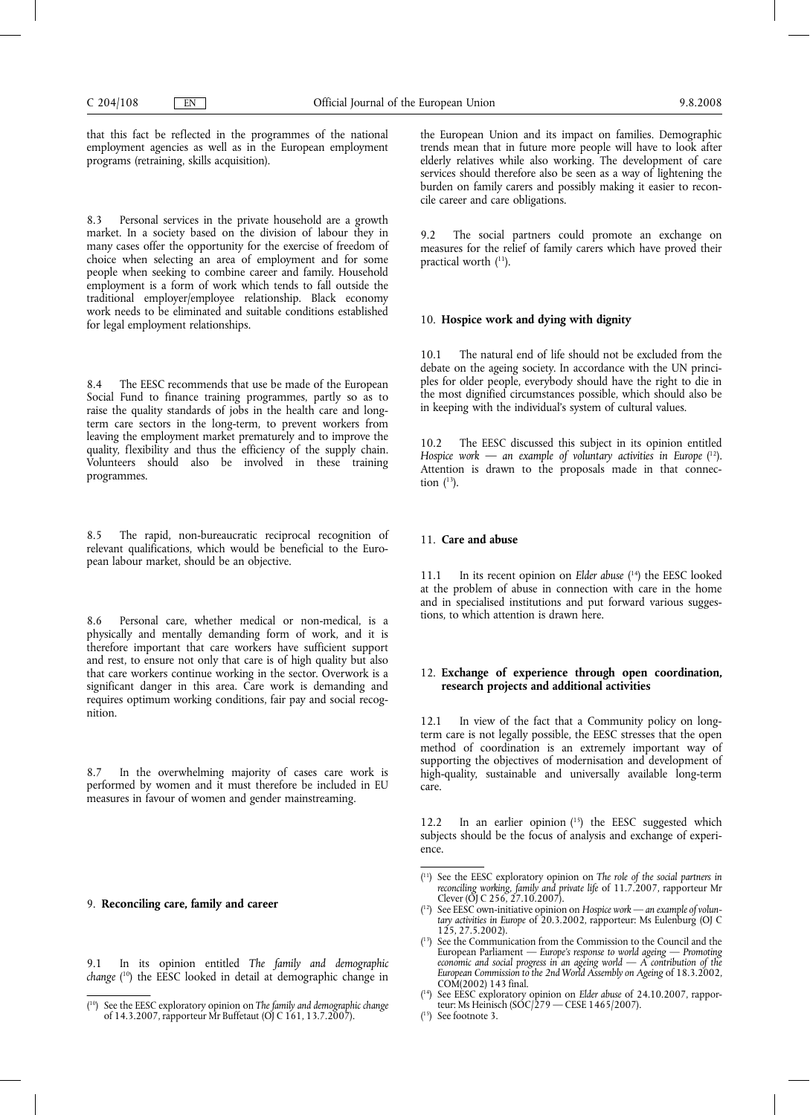that this fact be reflected in the programmes of the national employment agencies as well as in the European employment programs (retraining, skills acquisition).

8.3 Personal services in the private household are a growth market. In a society based on the division of labour they in many cases offer the opportunity for the exercise of freedom of choice when selecting an area of employment and for some people when seeking to combine career and family. Household employment is a form of work which tends to fall outside the traditional employer/employee relationship. Black economy work needs to be eliminated and suitable conditions established for legal employment relationships.

8.4 The EESC recommends that use be made of the European Social Fund to finance training programmes, partly so as to raise the quality standards of jobs in the health care and longterm care sectors in the long-term, to prevent workers from leaving the employment market prematurely and to improve the quality, flexibility and thus the efficiency of the supply chain. Volunteers should also be involved in these training programmes.

8.5 The rapid, non-bureaucratic reciprocal recognition of relevant qualifications, which would be beneficial to the European labour market, should be an objective.

8.6 Personal care, whether medical or non-medical, is a physically and mentally demanding form of work, and it is therefore important that care workers have sufficient support and rest, to ensure not only that care is of high quality but also that care workers continue working in the sector. Overwork is a significant danger in this area. Care work is demanding and requires optimum working conditions, fair pay and social recognition.

In the overwhelming majority of cases care work is performed by women and it must therefore be included in EU measures in favour of women and gender mainstreaming.

## 9. **Reconciling care, family and career**

9.1 In its opinion entitled *The family and demographic change* ( 10) the EESC looked in detail at demographic change in

the European Union and its impact on families. Demographic trends mean that in future more people will have to look after elderly relatives while also working. The development of care services should therefore also be seen as a way of lightening the burden on family carers and possibly making it easier to reconcile career and care obligations.

9.2 The social partners could promote an exchange on measures for the relief of family carers which have proved their practical worth (11).

#### 10. **Hospice work and dying with dignity**

10.1 The natural end of life should not be excluded from the debate on the ageing society. In accordance with the UN principles for older people, everybody should have the right to die in the most dignified circumstances possible, which should also be in keeping with the individual's system of cultural values.

10.2 The EESC discussed this subject in its opinion entitled *Hospice work* — *an example of voluntary activities in Europe* ( 12). Attention is drawn to the proposals made in that connection  $(^{13})$ .

#### 11. **Care and abuse**

11.1 In its recent opinion on *Elder abuse* ( 14) the EESC looked at the problem of abuse in connection with care in the home and in specialised institutions and put forward various suggestions, to which attention is drawn here.

## 12. **Exchange of experience through open coordination, research projects and additional activities**

12.1 In view of the fact that a Community policy on longterm care is not legally possible, the EESC stresses that the open method of coordination is an extremely important way of supporting the objectives of modernisation and development of high-quality, sustainable and universally available long-term care.

12.2 In an earlier opinion (15) the EESC suggested which subjects should be the focus of analysis and exchange of experience.

- ( 14) See EESC exploratory opinion on *Elder abuse* of 24.10.2007, rapporteur: Ms Heinisch (SOC/279 — CESE 1465/2007).
- ( 15) See footnote 3.

<sup>(</sup> 10) See the EESC exploratory opinion on *The family and demographic change* of 14.3.2007, rapporteur Mr Buffetaut (OJ C 161, 13.7.2007).

<sup>(</sup> 11) See the EESC exploratory opinion on *The role of the social partners in reconciling working, family and private life* of 11.7.2007, rapporteur Mr Clever (OJ C 256, 27.10.2007).

<sup>(</sup> 12) See EESC own-initiative opinion on *Hospice work* — *an example of voluntary activities in Europe* of 20.3.2002, rapporteur: Ms Eulenburg (OJ C  $125, 27.5.2002$ ).

<sup>(</sup> 13) See the Communication from the Commission to the Council and the European Parliament — Europe's response to world ageing — Promoting<br>economic and social progress in an ageing world — A contribution of the<br>European Commission to the 2nd World Assembly on Ageing of 18.3.2002, COM(2002) 143 final.